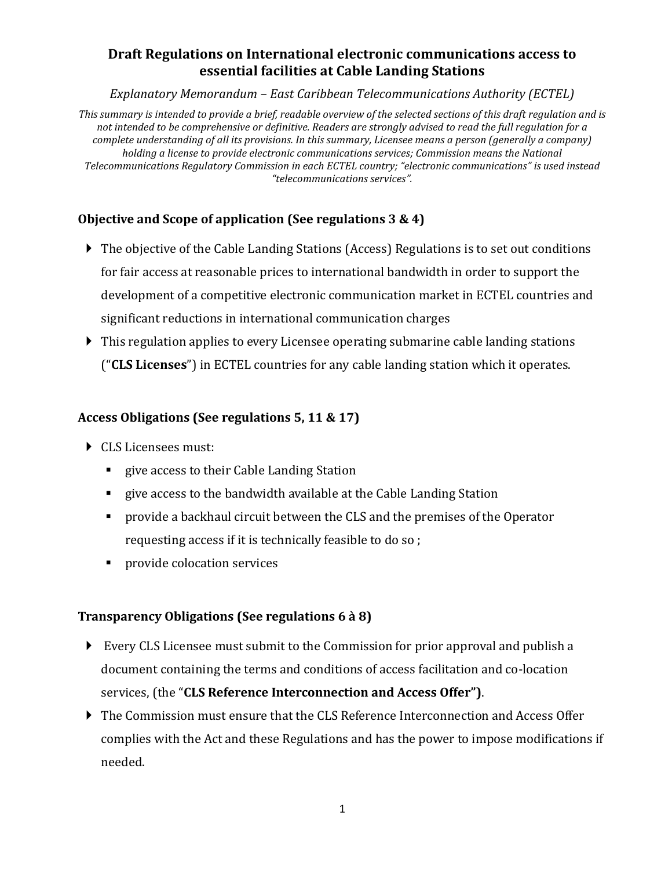# **Draft Regulations on International electronic communications access to essential facilities at Cable Landing Stations**

*Explanatory Memorandum – East Caribbean Telecommunications Authority (ECTEL)*

*This summary is intended to provide a brief, readable overview of the selected sections of this draft regulation and is not intended to be comprehensive or definitive. Readers are strongly advised to read the full regulation for a complete understanding of all its provisions. In this summary, Licensee means a person (generally a company) holding a license to provide electronic communications services; Commission means the National Telecommunications Regulatory Commission in each ECTEL country; "electronic communications" is used instead "telecommunications services".*

## **Objective and Scope of application (See regulations 3 & 4)**

- The objective of the Cable Landing Stations (Access) Regulations is to set out conditions for fair access at reasonable prices to international bandwidth in order to support the development of a competitive electronic communication market in ECTEL countries and significant reductions in international communication charges
- This regulation applies to every Licensee operating submarine cable landing stations ("**CLS Licenses**") in ECTEL countries for any cable landing station which it operates.

#### **Access Obligations (See regulations 5, 11 & 17)**

- CLS Licensees must:
	- **Example 2** give access to their Cable Landing Station
	- give access to the bandwidth available at the Cable Landing Station
	- **Perovide a backhaul circuit between the CLS and the premises of the Operator** requesting access if it is technically feasible to do so ;
	- **provide colocation services**

#### **Transparency Obligations (See regulations 6 à 8)**

- Every CLS Licensee must submit to the Commission for prior approval and publish a document containing the terms and conditions of access facilitation and co-location services, (the "**CLS Reference Interconnection and Access Offer")**.
- The Commission must ensure that the CLS Reference Interconnection and Access Offer complies with the Act and these Regulations and has the power to impose modifications if needed.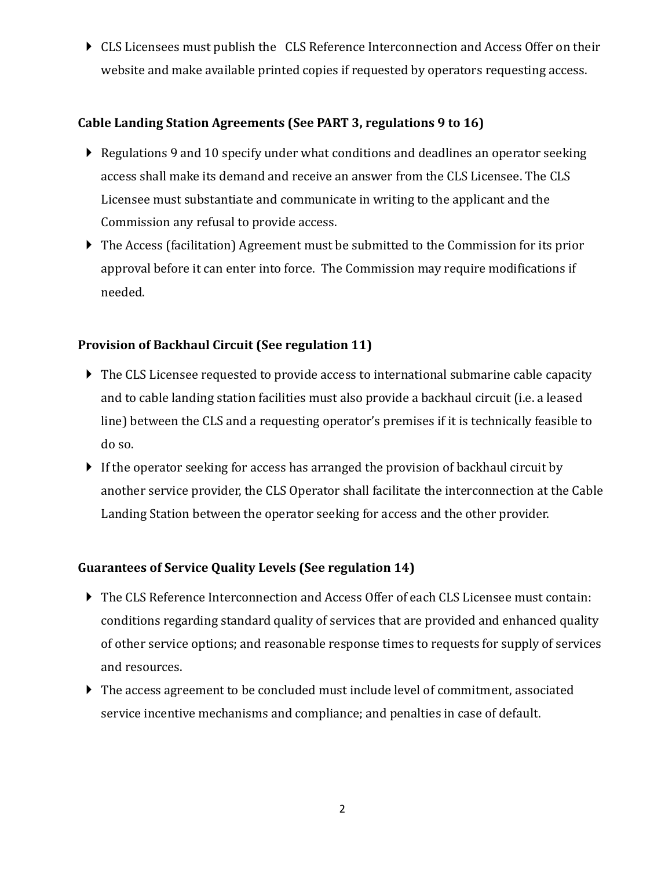CLS Licensees must publish the CLS Reference Interconnection and Access Offer on their website and make available printed copies if requested by operators requesting access.

## **Cable Landing Station Agreements (See PART 3, regulations 9 to 16)**

- Regulations 9 and 10 specify under what conditions and deadlines an operator seeking access shall make its demand and receive an answer from the CLS Licensee. The CLS Licensee must substantiate and communicate in writing to the applicant and the Commission any refusal to provide access.
- The Access (facilitation) Agreement must be submitted to the Commission for its prior approval before it can enter into force. The Commission may require modifications if needed.

## **Provision of Backhaul Circuit (See regulation 11)**

- The CLS Licensee requested to provide access to international submarine cable capacity and to cable landing station facilities must also provide a backhaul circuit (i.e. a leased line) between the CLS and a requesting operator's premises if it is technically feasible to do so.
- If the operator seeking for access has arranged the provision of backhaul circuit by another service provider, the CLS Operator shall facilitate the interconnection at the Cable Landing Station between the operator seeking for access and the other provider.

## **Guarantees of Service Quality Levels (See regulation 14)**

- The CLS Reference Interconnection and Access Offer of each CLS Licensee must contain: conditions regarding standard quality of services that are provided and enhanced quality of other service options; and reasonable response times to requests for supply of services and resources.
- The access agreement to be concluded must include level of commitment, associated service incentive mechanisms and compliance; and penalties in case of default.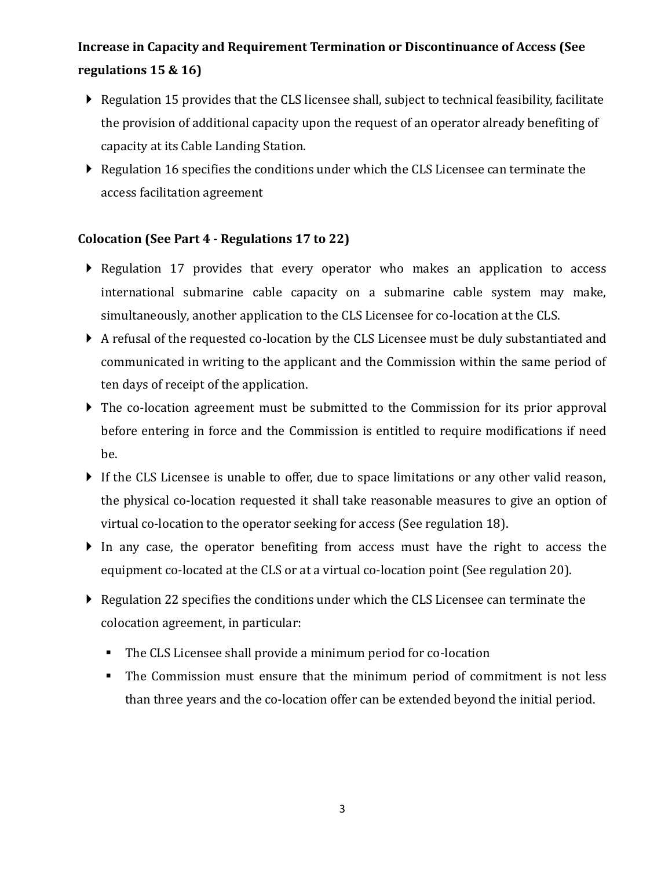# **Increase in Capacity and Requirement Termination or Discontinuance of Access (See regulations 15 & 16)**

- Regulation 15 provides that the CLS licensee shall, subject to technical feasibility, facilitate the provision of additional capacity upon the request of an operator already benefiting of capacity at its Cable Landing Station.
- Regulation 16 specifies the conditions under which the CLS Licensee can terminate the access facilitation agreement

# **Colocation (See Part 4 - Regulations 17 to 22)**

- Regulation 17 provides that every operator who makes an application to access international submarine cable capacity on a submarine cable system may make, simultaneously, another application to the CLS Licensee for co-location at the CLS.
- A refusal of the requested co-location by the CLS Licensee must be duly substantiated and communicated in writing to the applicant and the Commission within the same period of ten days of receipt of the application.
- The co-location agreement must be submitted to the Commission for its prior approval before entering in force and the Commission is entitled to require modifications if need be.
- If the CLS Licensee is unable to offer, due to space limitations or any other valid reason, the physical co-location requested it shall take reasonable measures to give an option of virtual co-location to the operator seeking for access (See regulation 18).
- In any case, the operator benefiting from access must have the right to access the equipment co-located at the CLS or at a virtual co-location point (See regulation 20).
- Regulation 22 specifies the conditions under which the CLS Licensee can terminate the colocation agreement, in particular:
	- The CLS Licensee shall provide a minimum period for co-location
	- The Commission must ensure that the minimum period of commitment is not less than three years and the co-location offer can be extended beyond the initial period.